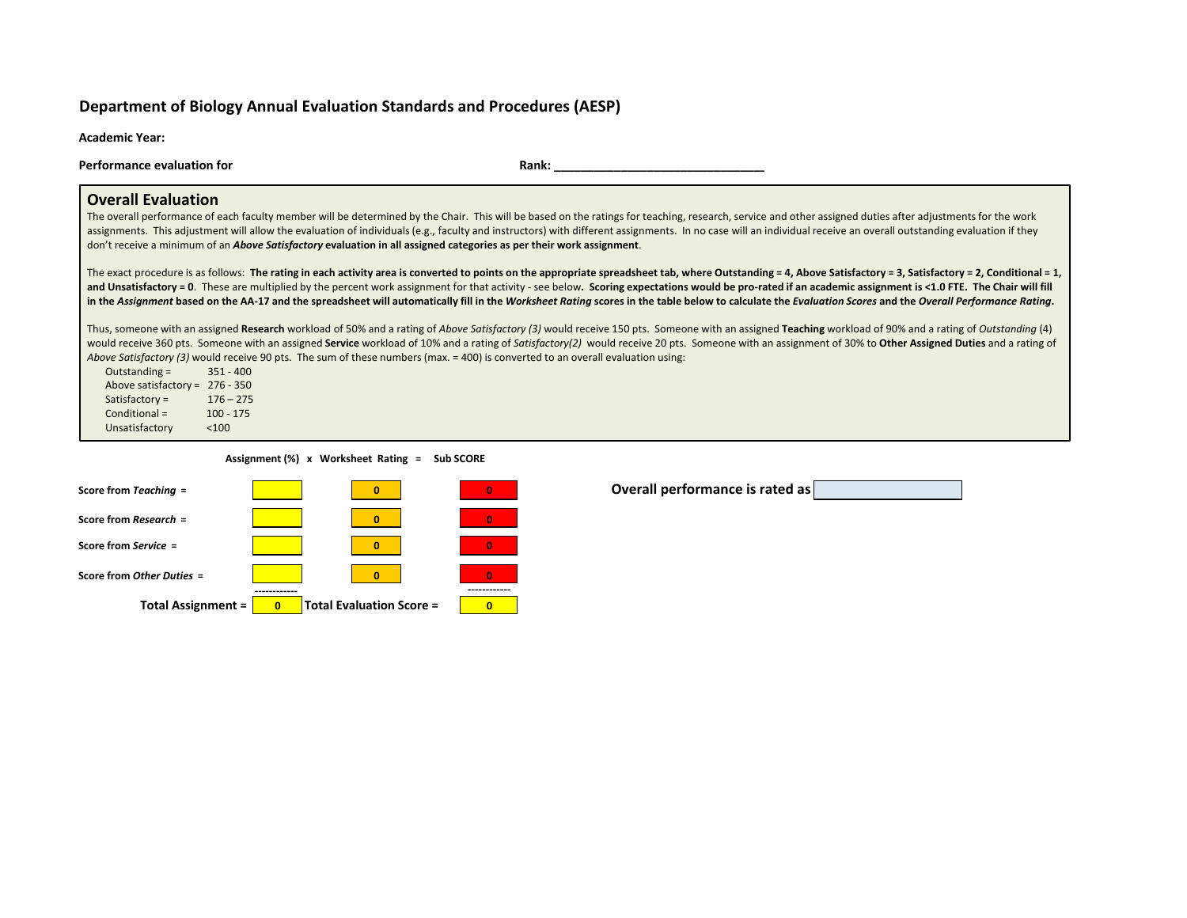## **Department of Biology Annual Evaluation Standards and Procedures (AESP)**

**Academic Year:**

**Performance evaluation for Rank: Rank: Rank: Rank: Rank: Rank: Rank: Rank: Rank: Rank: Rank: Rank: Rank: Rank: Rank: Rank: Rank: Rank: Rank: Rank: Rank: Rank: Rank: Rank:**

### **Overall Evaluation**

The overall performance of each faculty member will be determined by the Chair. This will be based on the ratings for teaching, research, service and other assigned duties after adjustments for the work assignments. This adjustment will allow the evaluation of individuals (e.g., faculty and instructors) with different assignments. In no case will an individual receive an overall outstanding evaluation if they don't receive a minimum of an *Above Satisfactory* **evaluation in all assigned categories as per their work assignment**.

The exact procedure is as follows: Th<mark>e rating in each activity area is converted to points on the appropriate spreadsheet tab, where Outstanding = 4, Above Satisfactory = 3, Satisfactory = 2, Conditional = 1,</mark> and Unsatisfactory = 0. These are multiplied by the percent work assignment for that activity - see below. Scoring expectations would be pro-rated if an academic assignment is <1.0 FTE. The Chair will fill in the Assignment based on the AA-17 and the spreadsheet will automatically fill in the Worksheet Rating scores in the table below to calculate the *Evaluation Scores* and the *Overall Performance Rating*.

Thus, someone with an assigned Research workload of 50% and a rating of *Above Satisfactory (3)* would receive 150 pts. Someone with an assigned Teaching workload of 90% and a rating of *Outstanding* (4) would receive 360 pts. Someone with an assigned Service workload of 10% and a rating of Satisfactory(2) would receive 20 pts. Someone with an assignment of 30% to Other Assigned Duties and a rating of *Above Satisfactory (3)* would receive 90 pts. The sum of these numbers (max. = 400) is converted to an overall evaluation using:

Outstanding = 351 - 400 Above satisfactory = 276 - 350 Satisfactory = 176 – 275  $Conditional = 100 - 175$ Unsatisfactory <100

 **Assignment (%) x Worksheet Rating = Sub SCORE**



**Overall performance is rated as**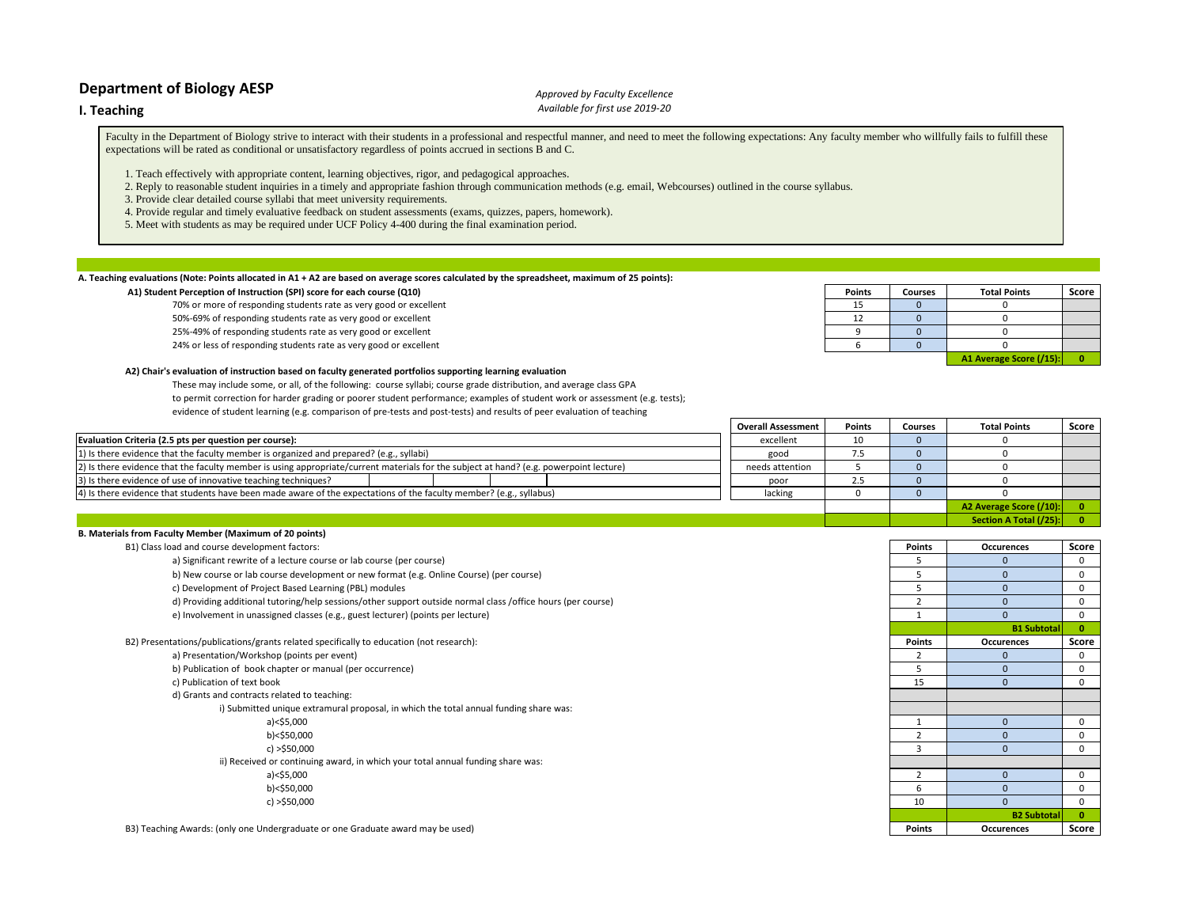### **I. Teaching**

### *Approved by Faculty Excellence Available for first use 2019-20*

Faculty in the Department of Biology strive to interact with their students in a professional and respectful manner, and need to meet the following expectations: Any faculty member who willfully fails to fulfill these expectations will be rated as conditional or unsatisfactory regardless of points accrued in sections B and C.

- 1. Teach effectively with appropriate content, learning objectives, rigor, and pedagogical approaches.
- 2. Reply to reasonable student inquiries in a timely and appropriate fashion through communication methods (e.g. email, Webcourses) outlined in the course syllabus.

3. Provide clear detailed course syllabi that meet university requirements.

- 4. Provide regular and timely evaluative feedback on student assessments (exams, quizzes, papers, homework).
- 5. Meet with students as may be required under UCF Policy 4-400 during the final examination period.

#### **A. Teaching evaluations (Note: Points allocated in A1 + A2 are based on average scores calculated by the spreadsheet, maximum of 25 points):**

#### **A1) Student Perception of Instruction (SPI) score for each course (Q10)**

70% or more of responding students rate as very good or excellent 50%-69% of responding students rate as very good or excellent 25%-49% of responding students rate as very good or excellent

24% or less of responding students rate as very good or excellent

#### **A2) Chair's evaluation of instruction based on faculty generated portfolios supporting learning evaluation**

These may include some, or all, of the following: course syllabi; course grade distribution, and average class GPA to permit correction for harder grading or poorer student performance; examples of student work or assessment (e.g. tests); evidence of student learning (e.g. comparison of pre-tests and post-tests) and results of peer evaluation of teaching

| <b>Points</b> | <b>Courses</b> | <b>Total Points</b>     | Score |
|---------------|----------------|-------------------------|-------|
|               |                |                         |       |
|               |                |                         |       |
|               |                |                         |       |
|               |                |                         |       |
|               |                | A1 Average Score (/15): |       |

**Section A Total (/25): 0**

|                                                                                                                                         | <b>Overall Assessment</b> | Points | <b>Courses</b> | <b>Total Points</b>     | Score |
|-----------------------------------------------------------------------------------------------------------------------------------------|---------------------------|--------|----------------|-------------------------|-------|
| Evaluation Criteria (2.5 pts per question per course):                                                                                  | excellent                 | 10     |                |                         |       |
| 1) Is there evidence that the faculty member is organized and prepared? (e.g., syllabi)                                                 | good                      |        |                |                         |       |
| [2] Is there evidence that the faculty member is using appropriate/current materials for the subject at hand? (e.g. powerpoint lecture) | needs attention           |        |                |                         |       |
| 3) Is there evidence of use of innovative teaching techniques?                                                                          | poor                      |        |                |                         |       |
| 4) Is there evidence that students have been made aware of the expectations of the faculty member? (e.g., syllabus)                     | lacking                   |        |                |                         |       |
|                                                                                                                                         |                           |        |                | A2 Average Score (/10): |       |

| B. Materials from Faculty Member (Maximum of 20 points)                                                      |                |                    |              |
|--------------------------------------------------------------------------------------------------------------|----------------|--------------------|--------------|
| B1) Class load and course development factors:                                                               | <b>Points</b>  | Occurences         | Score        |
| a) Significant rewrite of a lecture course or lab course (per course)                                        |                |                    | 0            |
| b) New course or lab course development or new format (e.g. Online Course) (per course)                      |                |                    | 0            |
| c) Development of Project Based Learning (PBL) modules                                                       |                |                    | 0            |
| d) Providing additional tutoring/help sessions/other support outside normal class /office hours (per course) |                |                    | 0            |
| e) Involvement in unassigned classes (e.g., guest lecturer) (points per lecture)                             |                |                    | $\mathbf 0$  |
|                                                                                                              |                | <b>B1 Subtotal</b> | $\mathbf{0}$ |
| B2) Presentations/publications/grants related specifically to education (not research):                      | <b>Points</b>  | <b>Occurences</b>  | Score        |
| a) Presentation/Workshop (points per event)                                                                  |                |                    | 0            |
| b) Publication of book chapter or manual (per occurrence)                                                    |                |                    | $\Omega$     |
| c) Publication of text book                                                                                  | 15             |                    | 0            |
| d) Grants and contracts related to teaching:                                                                 |                |                    |              |
| i) Submitted unique extramural proposal, in which the total annual funding share was:                        |                |                    |              |
| a)<\$5,000                                                                                                   |                |                    | $\Omega$     |
| b)<\$50,000                                                                                                  |                |                    | 0            |
| c) $>$ \$50,000                                                                                              | $\overline{3}$ |                    | 0            |
| ii) Received or continuing award, in which your total annual funding share was:                              |                |                    |              |
| $a$ )<\$5,000                                                                                                |                | $\Omega$           | 0            |
| b)<\$50,000                                                                                                  |                |                    | $\Omega$     |
| c) $>$ \$50,000                                                                                              | 10             | $\Omega$           | 0            |
|                                                                                                              |                | <b>B2 Subtotal</b> | $\mathbf{0}$ |
| B3) Teaching Awards: (only one Undergraduate or one Graduate award may be used)                              | Points         | <b>Occurences</b>  | Score        |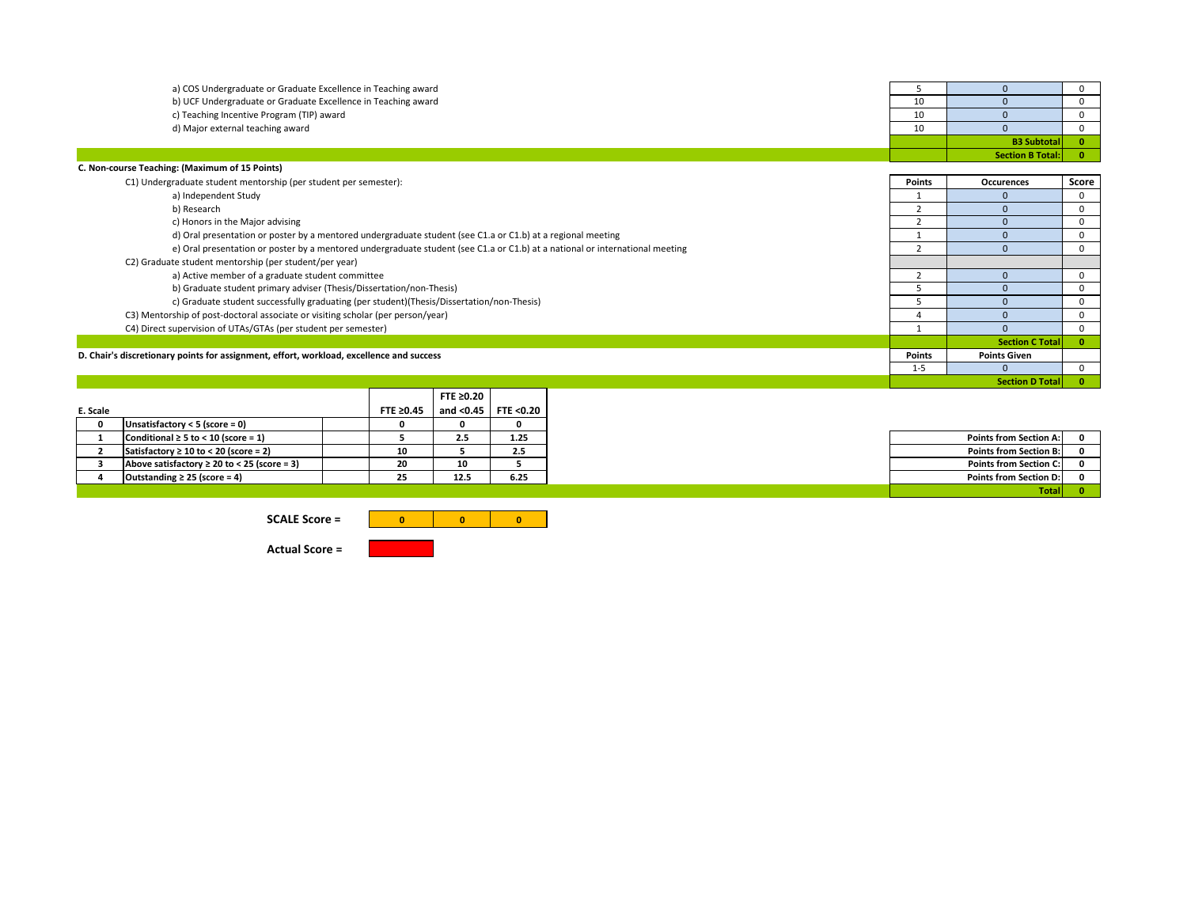| a) COS Undergraduate or Graduate Excellence in Teaching award                                                                | 5              | $\Omega$                | $\mathbf 0$  |
|------------------------------------------------------------------------------------------------------------------------------|----------------|-------------------------|--------------|
| b) UCF Undergraduate or Graduate Excellence in Teaching award                                                                | 10             | $\Omega$                | $\Omega$     |
| c) Teaching Incentive Program (TIP) award                                                                                    | 10             | $\Omega$                | $\Omega$     |
| d) Major external teaching award                                                                                             | 10             | $\Omega$                |              |
|                                                                                                                              |                | <b>B3 Subtotal</b>      | $\mathbf{0}$ |
|                                                                                                                              |                | <b>Section B Total:</b> | $\mathbf{0}$ |
| C. Non-course Teaching: (Maximum of 15 Points)                                                                               |                |                         |              |
| C1) Undergraduate student mentorship (per student per semester):                                                             | <b>Points</b>  | <b>Occurences</b>       | Score        |
| a) Independent Study                                                                                                         |                |                         | $\mathbf 0$  |
| b) Research                                                                                                                  |                | $\Omega$                | $\Omega$     |
| c) Honors in the Major advising                                                                                              |                | $\Omega$                | 0            |
| d) Oral presentation or poster by a mentored undergraduate student (see C1.a or C1.b) at a regional meeting                  |                | $\Omega$                | $\Omega$     |
| e) Oral presentation or poster by a mentored undergraduate student (see C1.a or C1.b) at a national or international meeting | $\mathcal{P}$  | $\Omega$                | $\Omega$     |
| C2) Graduate student mentorship (per student/per year)                                                                       |                |                         |              |
| a) Active member of a graduate student committee                                                                             | $\overline{2}$ |                         | 0            |
| b) Graduate student primary adviser (Thesis/Dissertation/non-Thesis)                                                         |                | $\Omega$                | $\Omega$     |
| c) Graduate student successfully graduating (per student)(Thesis/Dissertation/non-Thesis)                                    |                |                         | 0            |
| C3) Mentorship of post-doctoral associate or visiting scholar (per person/year)                                              |                |                         | $\Omega$     |
| C4) Direct supervision of UTAs/GTAs (per student per semester)                                                               |                | $\Omega$                | $\Omega$     |
|                                                                                                                              |                | <b>Section C Total</b>  | $\mathbf{0}$ |
| D. Chair's discretionary points for assignment, effort, workload, excellence and success                                     | <b>Points</b>  | <b>Points Given</b>     |              |
|                                                                                                                              | $1 - 5$        | $\Omega$                | $\Omega$     |
|                                                                                                                              |                | <b>Section D Total</b>  | $\mathbf{0}$ |

|          |                                                  |                 | FTE $\geq 0.20$ |           |
|----------|--------------------------------------------------|-----------------|-----------------|-----------|
| E. Scale |                                                  | FTE $\geq 0.45$ | and $<$ 0.45    | FTE <0.20 |
|          | Unsatisfactory < 5 (score = 0)                   |                 |                 |           |
|          | Conditional $\geq 5$ to < 10 (score = 1)         |                 | 2.5             | 1.25      |
|          | Satisfactory $\geq 10$ to < 20 (score = 2)       | 10              |                 | 2.5       |
|          | Above satisfactory $\geq 20$ to < 25 (score = 3) | 20              | 10              |           |
|          | Outstanding $\geq$ 25 (score = 4)                | 25              | 12.5            | 6.25      |
|          |                                                  |                 |                 |           |

|                                                  | HIE 20.45 |      | and <0.45 I TIE <0.20 I |
|--------------------------------------------------|-----------|------|-------------------------|
| Unsatisfactory $<$ 5 (score = 0)                 |           |      |                         |
| Conditional $\geq 5$ to < 10 (score = 1)         |           | 2.5  | 1.25                    |
| Satisfactory $\geq 10$ to < 20 (score = 2)       | 10        |      | 2.5                     |
| Above satisfactory $\geq 20$ to < 25 (score = 3) | 20        | 10   |                         |
| Outstanding $\geq$ 25 (score = 4)                | 25        | 12.5 | 6.25                    |
|                                                  |           |      |                         |

**SCALE Score =** 



**Actual Score =**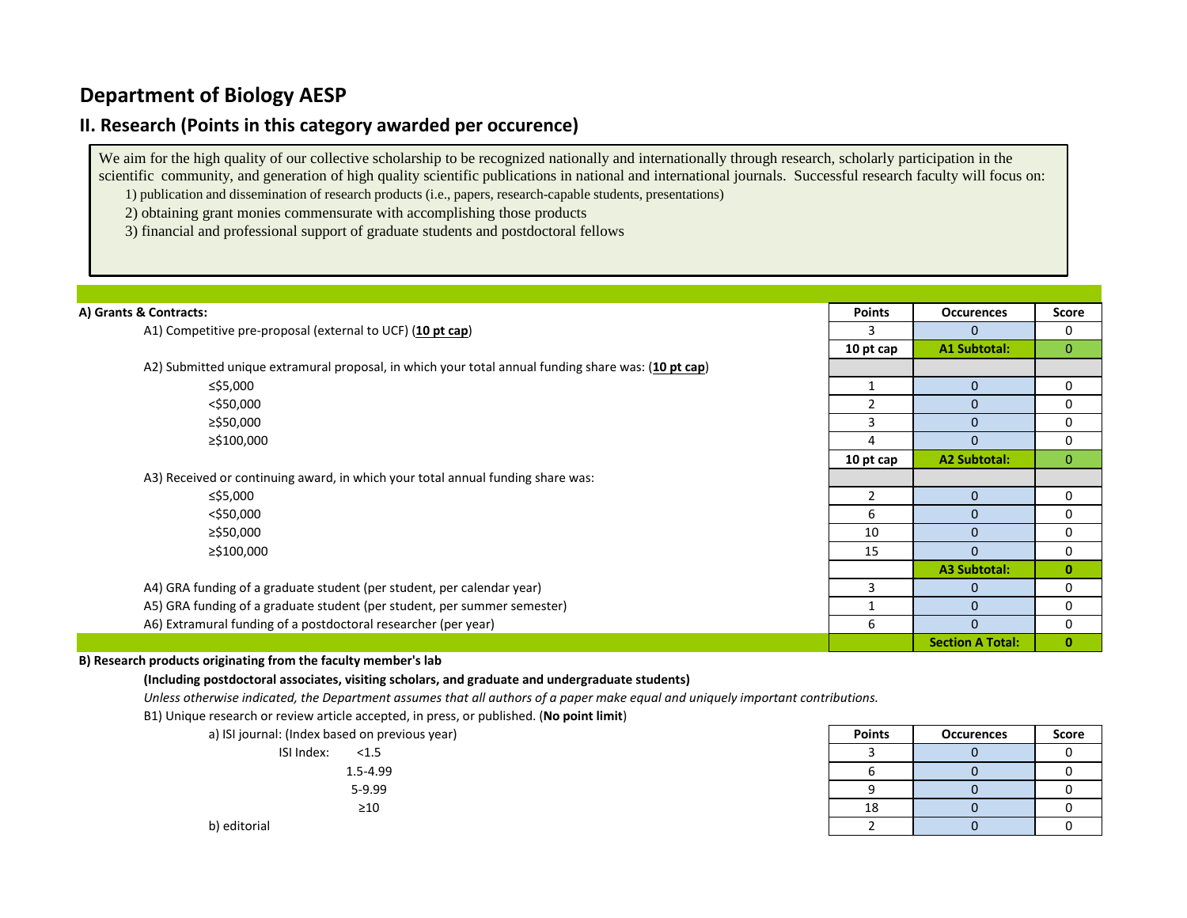## **II. Research (Points in this category awarded per occurence)**

We aim for the high quality of our collective scholarship to be recognized nationally and internationally through research, scholarly participation in the scientific community, and generation of high quality scientific publications in national and international journals. Successful research faculty will focus on: 1) publication and dissemination of research products (i.e., papers, research-capable students, presentations)

2) obtaining grant monies commensurate with accomplishing those products

3) financial and professional support of graduate students and postdoctoral fellows

| A) Grants & Contracts:                                                                              | <b>Points</b>  | <b>Occurences</b>       | Score        |
|-----------------------------------------------------------------------------------------------------|----------------|-------------------------|--------------|
| A1) Competitive pre-proposal (external to UCF) (10 pt cap)                                          |                | $\Omega$                | 0            |
|                                                                                                     | 10 pt cap      | <b>A1 Subtotal:</b>     | $\mathbf{0}$ |
| A2) Submitted unique extramural proposal, in which your total annual funding share was: (10 pt cap) |                |                         |              |
| ≤\$5,000                                                                                            | 1              | $\mathbf{0}$            | 0            |
| $<$ \$50,000                                                                                        | $\overline{2}$ | $\Omega$                | 0            |
| ≥\$50,000                                                                                           | 3              | $\Omega$                | 0            |
| ≥\$100,000                                                                                          | 4              | $\Omega$                | 0            |
|                                                                                                     | 10 pt cap      | <b>A2 Subtotal:</b>     | $\mathbf{0}$ |
| A3) Received or continuing award, in which your total annual funding share was:                     |                |                         |              |
| ≤\$5,000                                                                                            |                | $\Omega$                | 0            |
| $<$ \$50,000                                                                                        | 6              | $\mathbf{0}$            | 0            |
| ≥\$50,000                                                                                           | 10             | $\Omega$                | 0            |
| ≥\$100,000                                                                                          | 15             | $\Omega$                | 0            |
|                                                                                                     |                | A3 Subtotal:            | $\mathbf{0}$ |
| A4) GRA funding of a graduate student (per student, per calendar year)                              | 3              | $\Omega$                | 0            |
| A5) GRA funding of a graduate student (per student, per summer semester)                            |                | $\Omega$                | 0            |
| A6) Extramural funding of a postdoctoral researcher (per year)                                      | 6              | $\Omega$                | 0            |
|                                                                                                     |                | <b>Section A Total:</b> | $\mathbf{0}$ |

### **B) Research products originating from the faculty member's lab**

**(Including postdoctoral associates, visiting scholars, and graduate and undergraduate students)**

*Unless otherwise indicated, the Department assumes that all authors of a paper make equal and uniquely important contributions.*

B1) Unique research or review article accepted, in press, or published. (**No point limit**)

| a) ISI journal: (Index based on previous year) | <b>Points</b> | <b>Occurences</b> | Score |
|------------------------------------------------|---------------|-------------------|-------|
| ISI Index:<br>< 1.5                            |               |                   |       |
| $1.5 - 4.99$                                   |               |                   |       |
| 5-9.99                                         |               |                   |       |
| $\geq 10$                                      | 18            |                   |       |
| b) editorial                                   |               |                   |       |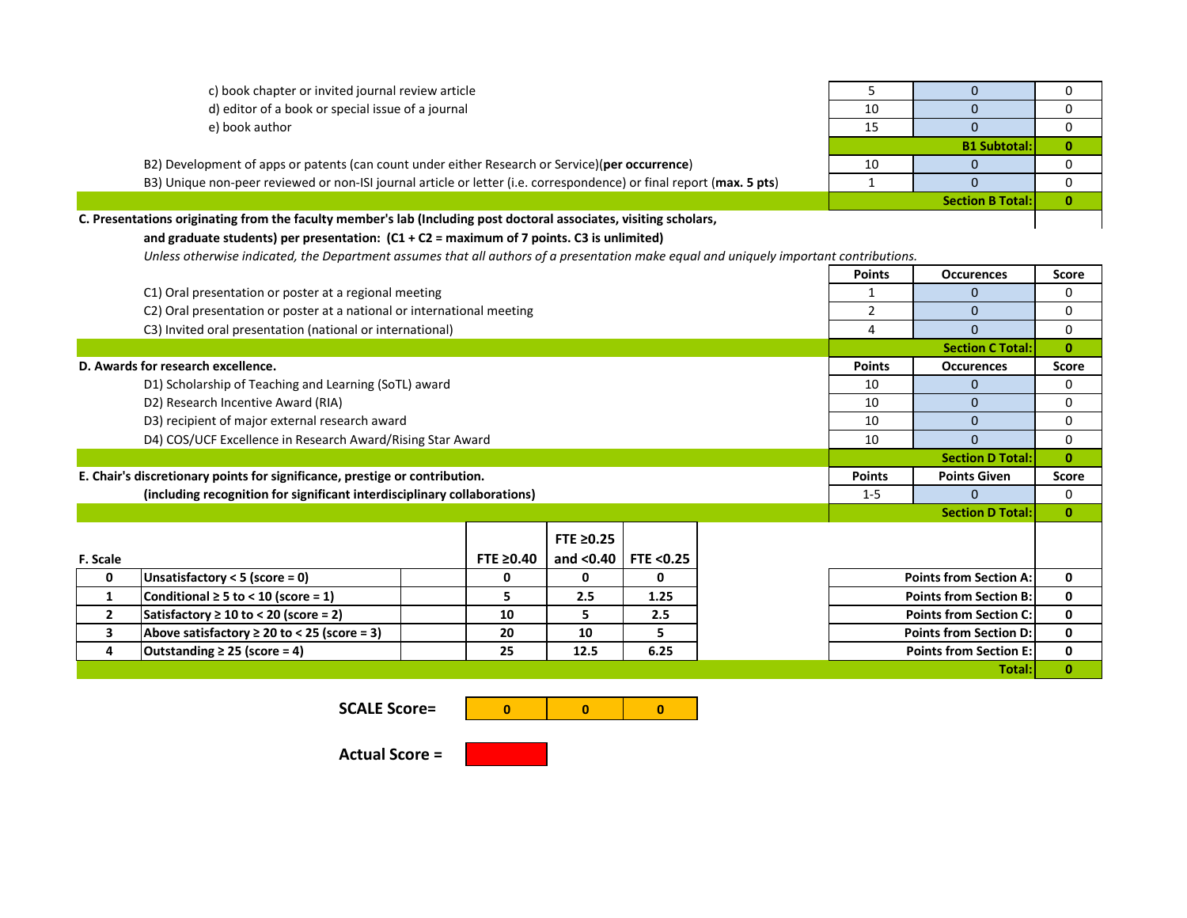| c) book chapter or invited journal review article |   |  |
|---------------------------------------------------|---|--|
| d) editor of a book or special issue of a journal | ∸ |  |
| a) hook suthor                                    |   |  |

B2) Development of apps or patents (can count under either Research or Service)(per occurrence) B3) Unique non-peer reviewed or non-ISI journal article or letter (i.e. correspondence) or final report (max. 5 pts)

| C. Presentations originating from the faculty member's lab (Including post doctoral associates, visiting scholars, |  |
|--------------------------------------------------------------------------------------------------------------------|--|
|--------------------------------------------------------------------------------------------------------------------|--|

## **and graduate students) per presentation: (C1 + C2 = maximum of 7 points. C3 is unlimited)**

*Unless otherwise indicated, the Department assumes that all authors of a presentation make equal and uniquely important contributions.*

|              |                                                                             |                 |                             |      |  | <b>Points</b>                 | <b>Occurences</b>             | <b>Score</b> |
|--------------|-----------------------------------------------------------------------------|-----------------|-----------------------------|------|--|-------------------------------|-------------------------------|--------------|
|              | C1) Oral presentation or poster at a regional meeting                       |                 | $\mathbf 0$                 | 0    |  |                               |                               |              |
|              | C2) Oral presentation or poster at a national or international meeting      | $\overline{2}$  | $\Omega$                    | 0    |  |                               |                               |              |
|              | C3) Invited oral presentation (national or international)                   |                 |                             |      |  | 4                             | $\Omega$                      | 0            |
|              |                                                                             |                 |                             |      |  |                               | <b>Section C Total:</b>       | $\bf{0}$     |
|              | D. Awards for research excellence.                                          |                 |                             |      |  | <b>Points</b>                 | <b>Occurences</b>             | Score        |
|              | D1) Scholarship of Teaching and Learning (SoTL) award                       |                 |                             |      |  | 10                            | 0                             | 0            |
|              | D2) Research Incentive Award (RIA)                                          |                 |                             |      |  | 10                            | $\Omega$                      | 0            |
|              | D3) recipient of major external research award                              |                 |                             |      |  | 10                            | $\Omega$                      | 0            |
|              | D4) COS/UCF Excellence in Research Award/Rising Star Award                  |                 |                             |      |  | 10                            | $\Omega$                      | 0            |
|              |                                                                             |                 |                             |      |  |                               | <b>Section D Total:</b>       | $\bf{0}$     |
|              | E. Chair's discretionary points for significance, prestige or contribution. |                 |                             |      |  | <b>Points</b>                 | <b>Points Given</b>           | <b>Score</b> |
|              | (including recognition for significant interdisciplinary collaborations)    |                 |                             |      |  | $1 - 5$                       | 0                             | 0            |
|              |                                                                             |                 |                             |      |  |                               | <b>Section D Total:</b>       | $\mathbf{0}$ |
|              |                                                                             |                 | FTE ≥0.25                   |      |  |                               |                               |              |
| F. Scale     |                                                                             | FTE $\geq 0.40$ | and $< 0.40$   FTE $< 0.25$ |      |  |                               |                               |              |
| 0            | Unsatisfactory < 5 (score = 0)                                              | 0               | $\Omega$                    | 0    |  |                               | <b>Points from Section A:</b> | 0            |
| $\mathbf{1}$ | Conditional $\geq 5$ to < 10 (score = 1)                                    | 5.              | 2.5                         | 1.25 |  |                               | <b>Points from Section B:</b> | 0            |
| $\mathbf{2}$ | Satisfactory $\geq 10$ to < 20 (score = 2)                                  | 10              | 5.                          | 2.5  |  |                               | <b>Points from Section C:</b> | 0            |
| 3            | Above satisfactory $\geq 20$ to < 25 (score = 3)                            | 20              | 10                          | 5    |  | <b>Points from Section D:</b> | 0                             |              |
| 4            | Outstanding $\geq$ 25 (score = 4)                                           | 25              | 12.5                        | 6.25 |  |                               | <b>Points from Section E:</b> | 0            |
|              |                                                                             |                 |                             |      |  |                               | Total:                        | $\mathbf{0}$ |

**SCALE Score=**



**Actual Score =**





| c) book chapter or invited journal review article                                                         |    |                         |  |
|-----------------------------------------------------------------------------------------------------------|----|-------------------------|--|
| d) editor of a book or special issue of a journal                                                         | 10 |                         |  |
| e) book author                                                                                            |    |                         |  |
|                                                                                                           |    | <b>B1 Subtotal:</b>     |  |
| ) ment of apps or patents (can count under either Research or Service)(per occurrence)                    | 10 |                         |  |
| non-peer reviewed or non-ISI journal article or letter (i.e. correspondence) or final report (max. 5 pts) |    |                         |  |
|                                                                                                           |    | <b>Section B Total:</b> |  |
| ating from the faculty member's lab (Including post doctoral associates, visiting scholars,               |    |                         |  |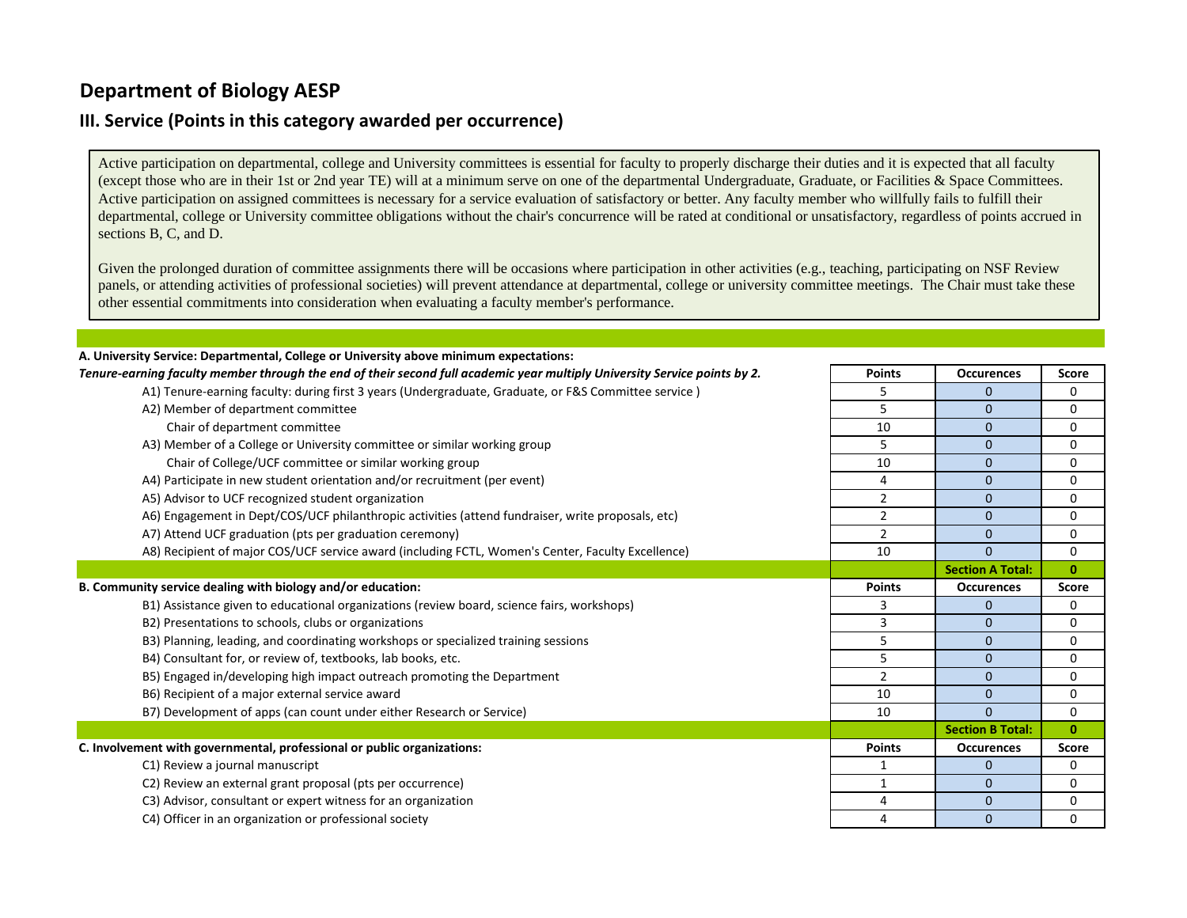## **III. Service (Points in this category awarded per occurrence)**

Active participation on departmental, college and University committees is essential for faculty to properly discharge their duties and it is expected that all faculty (except those who are in their 1st or 2nd year TE) will at a minimum serve on one of the departmental Undergraduate, Graduate, or Facilities & Space Committees. Active participation on assigned committees is necessary for a service evaluation of satisfactory or better. Any faculty member who willfully fails to fulfill their departmental, college or University committee obligations without the chair's concurrence will be rated at conditional or unsatisfactory, regardless of points accrued in sections B, C, and D.

Given the prolonged duration of committee assignments there will be occasions where participation in other activities (e.g., teaching, participating on NSF Review panels, or attending activities of professional societies) will prevent attendance at departmental, college or university committee meetings. The Chair must take these other essential commitments into consideration when evaluating a faculty member's performance.

| A. University Service: Departmental, College or University above minimum expectations:                                    |                |                         |              |
|---------------------------------------------------------------------------------------------------------------------------|----------------|-------------------------|--------------|
| Tenure-earning faculty member through the end of their second full academic year multiply University Service points by 2. | <b>Points</b>  | <b>Occurences</b>       | <b>Score</b> |
| A1) Tenure-earning faculty: during first 3 years (Undergraduate, Graduate, or F&S Committee service)                      | 5              | $\mathbf{0}$            | 0            |
| A2) Member of department committee                                                                                        | 5              | $\mathbf{0}$            | 0            |
| Chair of department committee                                                                                             | 10             | $\mathbf 0$             | 0            |
| A3) Member of a College or University committee or similar working group                                                  | 5              | 0                       | 0            |
| Chair of College/UCF committee or similar working group                                                                   | 10             | $\mathbf{0}$            | 0            |
| A4) Participate in new student orientation and/or recruitment (per event)                                                 | 4              | $\mathbf{0}$            | 0            |
| A5) Advisor to UCF recognized student organization                                                                        | 2              | $\mathbf{0}$            | 0            |
| A6) Engagement in Dept/COS/UCF philanthropic activities (attend fundraiser, write proposals, etc)                         | 2              | $\mathbf{0}$            | 0            |
| A7) Attend UCF graduation (pts per graduation ceremony)                                                                   | $\overline{2}$ | $\mathbf{0}$            | 0            |
| A8) Recipient of major COS/UCF service award (including FCTL, Women's Center, Faculty Excellence)                         | 10             | $\Omega$                | 0            |
|                                                                                                                           |                | <b>Section A Total:</b> | $\mathbf{0}$ |
| B. Community service dealing with biology and/or education:                                                               | <b>Points</b>  | <b>Occurences</b>       | Score        |
| B1) Assistance given to educational organizations (review board, science fairs, workshops)                                | 3              | $\mathbf{0}$            | 0            |
| B2) Presentations to schools, clubs or organizations                                                                      | 3              | $\mathbf{0}$            | 0            |
| B3) Planning, leading, and coordinating workshops or specialized training sessions                                        | 5              | $\mathbf{0}$            | 0            |
| B4) Consultant for, or review of, textbooks, lab books, etc.                                                              | 5              | $\mathbf{0}$            | 0            |
| B5) Engaged in/developing high impact outreach promoting the Department                                                   | $\overline{2}$ | $\mathbf{0}$            | 0            |
| B6) Recipient of a major external service award                                                                           | 10             | $\mathbf{0}$            | 0            |
| B7) Development of apps (can count under either Research or Service)                                                      | 10             | $\Omega$                | 0            |
|                                                                                                                           |                | <b>Section B Total:</b> | $\mathbf{0}$ |
| C. Involvement with governmental, professional or public organizations:                                                   | <b>Points</b>  | <b>Occurences</b>       | Score        |
| C1) Review a journal manuscript                                                                                           | 1              | $\overline{0}$          | 0            |
| C2) Review an external grant proposal (pts per occurrence)                                                                | 1              | $\mathbf{0}$            | 0            |
| C3) Advisor, consultant or expert witness for an organization                                                             | 4              | $\mathbf 0$             | 0            |
| C4) Officer in an organization or professional society                                                                    | 4              | $\mathbf{0}$            | 0            |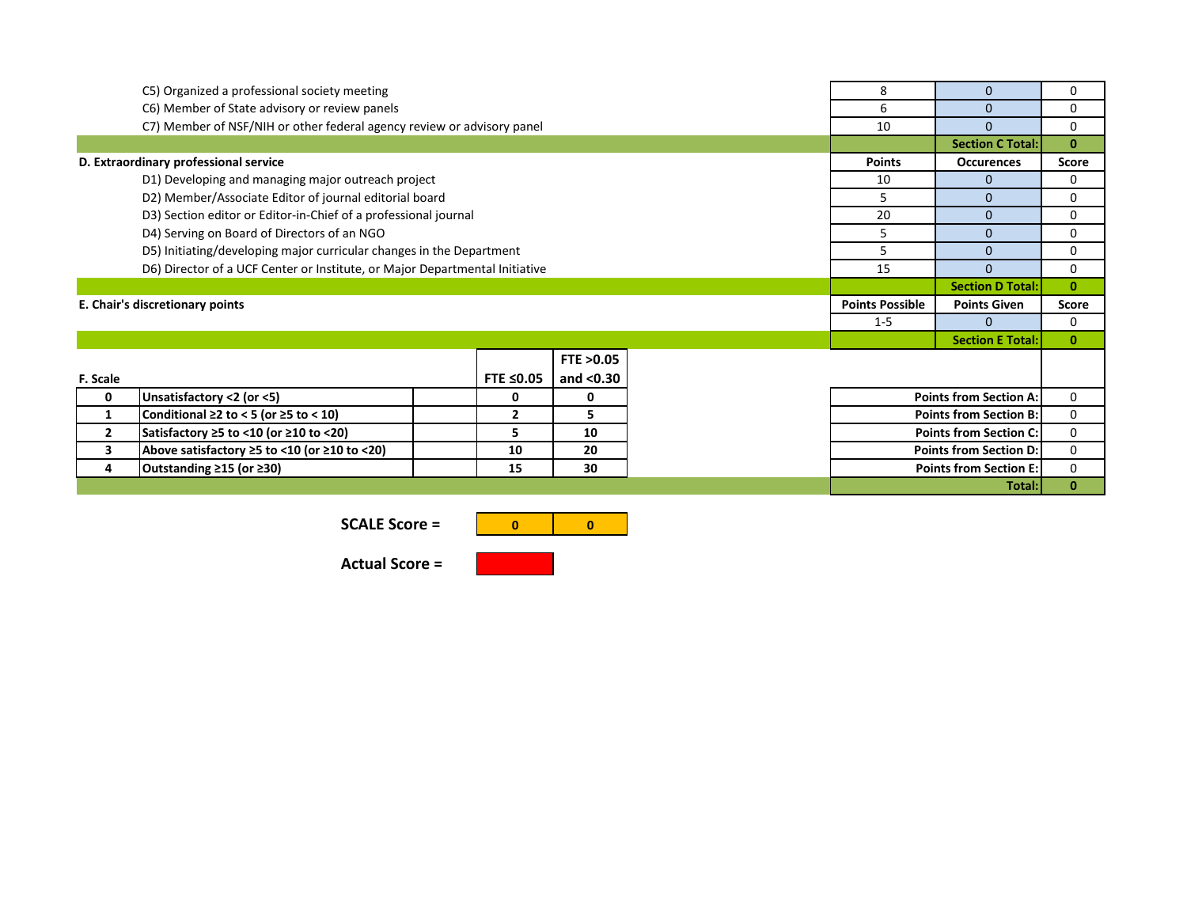| C5) Organized a professional society meeting                                |                                                                        |              | 8            | $\mathbf{0}$           | 0                             |                         |              |
|-----------------------------------------------------------------------------|------------------------------------------------------------------------|--------------|--------------|------------------------|-------------------------------|-------------------------|--------------|
| C6) Member of State advisory or review panels                               |                                                                        |              |              | 6                      | $\mathbf{0}$                  | 0                       |              |
|                                                                             | C7) Member of NSF/NIH or other federal agency review or advisory panel |              |              |                        | 10                            | $\Omega$                | 0            |
|                                                                             |                                                                        |              |              |                        |                               | <b>Section C Total:</b> | $\mathbf{0}$ |
| D. Extraordinary professional service                                       |                                                                        |              |              | <b>Points</b>          | <b>Occurences</b>             | <b>Score</b>            |              |
| D1) Developing and managing major outreach project                          |                                                                        |              |              | 10                     | $\mathbf{0}$                  | 0                       |              |
|                                                                             | D2) Member/Associate Editor of journal editorial board                 |              |              |                        | 5                             | $\Omega$                | $\Omega$     |
| D3) Section editor or Editor-in-Chief of a professional journal             |                                                                        |              |              | 20                     | $\mathbf{0}$                  | 0                       |              |
| D4) Serving on Board of Directors of an NGO                                 |                                                                        |              |              | 5                      | $\mathbf{0}$                  | 0                       |              |
| D5) Initiating/developing major curricular changes in the Department        |                                                                        |              |              | 5                      | $\mathbf{0}$                  | 0                       |              |
| D6) Director of a UCF Center or Institute, or Major Departmental Initiative |                                                                        |              |              | 15                     | $\Omega$                      | $\mathbf{0}$            |              |
|                                                                             |                                                                        |              |              |                        |                               | <b>Section D Total:</b> | $\mathbf{0}$ |
| E. Chair's discretionary points                                             |                                                                        |              |              | <b>Points Possible</b> | <b>Points Given</b>           | <b>Score</b>            |              |
|                                                                             |                                                                        |              |              |                        | $1 - 5$                       | $\Omega$                | $\Omega$     |
|                                                                             |                                                                        |              |              |                        |                               | <b>Section E Total:</b> | $\mathbf{0}$ |
|                                                                             |                                                                        |              | FTE > 0.05   |                        |                               |                         |              |
| F. Scale                                                                    |                                                                        | FTE ≤0.05    | and $<$ 0.30 |                        |                               |                         |              |
| 0                                                                           | Unsatisfactory <2 (or <5)                                              | 0            | 0            |                        | <b>Points from Section A:</b> |                         | 0            |
| 1                                                                           | Conditional $\geq 2$ to < 5 (or $\geq 5$ to < 10)                      | $\mathbf{2}$ | 5            |                        | <b>Points from Section B:</b> |                         | 0            |
| $\overline{2}$                                                              | Satisfactory ≥5 to <10 (or ≥10 to <20)                                 | 5.           | 10           |                        | <b>Points from Section C:</b> |                         | 0            |
| 3                                                                           | Above satisfactory $\geq$ 5 to <10 (or $\geq$ 10 to <20)               | 10           | 20           |                        | <b>Points from Section D:</b> | 0                       |              |
| 4                                                                           | Outstanding ≥15 (or ≥30)                                               | 15           | 30           |                        | <b>Points from Section E:</b> | 0                       |              |
| Total:I                                                                     |                                                                        |              |              |                        |                               |                         | $\mathbf{0}$ |

**SCALE Score =** 



**Actual Score =**